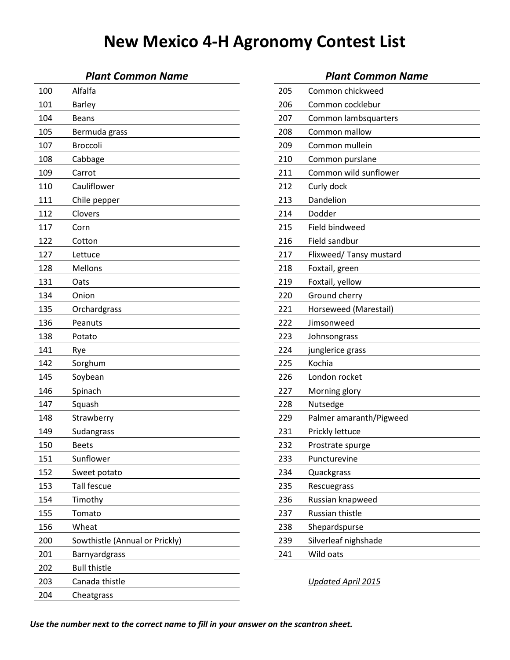### *Plant Common Name Plant Common Name*

| 100 | Alfalfa                        | 205 | Common chickweed          |
|-----|--------------------------------|-----|---------------------------|
| 101 | <b>Barley</b>                  | 206 | Common cocklebur          |
| 104 | <b>Beans</b>                   | 207 | Common lambsquarters      |
| 105 | Bermuda grass                  | 208 | Common mallow             |
| 107 | Broccoli                       | 209 | Common mullein            |
| 108 | Cabbage                        | 210 | Common purslane           |
| 109 | Carrot                         | 211 | Common wild sunflower     |
| 110 | Cauliflower                    | 212 | Curly dock                |
| 111 | Chile pepper                   | 213 | Dandelion                 |
| 112 | Clovers                        | 214 | Dodder                    |
| 117 | Corn                           | 215 | Field bindweed            |
| 122 | Cotton                         | 216 | Field sandbur             |
| 127 | Lettuce                        | 217 | Flixweed/ Tansy mustard   |
| 128 | Mellons                        | 218 | Foxtail, green            |
| 131 | Oats                           | 219 | Foxtail, yellow           |
| 134 | Onion                          | 220 | Ground cherry             |
| 135 | Orchardgrass                   | 221 | Horseweed (Marestail)     |
| 136 | Peanuts                        | 222 | Jimsonweed                |
| 138 | Potato                         | 223 | Johnsongrass              |
| 141 | Rye                            | 224 | junglerice grass          |
| 142 | Sorghum                        | 225 | Kochia                    |
| 145 | Soybean                        | 226 | London rocket             |
| 146 | Spinach                        | 227 | Morning glory             |
| 147 | Squash                         | 228 | Nutsedge                  |
| 148 | Strawberry                     | 229 | Palmer amaranth/Pigweed   |
| 149 | Sudangrass                     | 231 | Prickly lettuce           |
| 150 | <b>Beets</b>                   | 232 | Prostrate spurge          |
| 151 | Sunflower                      | 233 | Puncturevine              |
| 152 | Sweet potato                   | 234 | Quackgrass                |
| 153 | Tall fescue                    | 235 | Rescuegrass               |
| 154 | Timothy                        | 236 | Russian knapweed          |
| 155 | Tomato                         | 237 | Russian thistle           |
| 156 | Wheat                          | 238 | Shepardspurse             |
| 200 | Sowthistle (Annual or Prickly) | 239 | Silverleaf nighshade      |
| 201 | Barnyardgrass                  | 241 | Wild oats                 |
| 202 | <b>Bull thistle</b>            |     |                           |
| 203 | Canada thistle                 |     | <b>Updated April 2015</b> |
| 204 | Cheatgrass                     |     |                           |
|     |                                |     |                           |

| 205 | Common chickweed        |
|-----|-------------------------|
| 206 | Common cocklebur        |
| 207 | Common lambsquarters    |
| 208 | Common mallow           |
| 209 | Common mullein          |
| 210 | Common purslane         |
| 211 | Common wild sunflower   |
| 212 | Curly dock              |
| 213 | Dandelion               |
| 214 | Dodder                  |
| 215 | Field bindweed          |
| 216 | Field sandbur           |
| 217 | Flixweed/ Tansy mustard |
| 218 | Foxtail, green          |
| 219 | Foxtail, yellow         |
| 220 | Ground cherry           |
| 221 | Horseweed (Marestail)   |
| 222 | Jimsonweed              |
| 223 | Johnsongrass            |
| 224 | junglerice grass        |
| 225 | Kochia                  |
| 226 | London rocket           |
| 227 | Morning glory           |
| 228 | Nutsedge                |
| 229 | Palmer amaranth/Pigweed |
| 231 | Prickly lettuce         |
| 232 | Prostrate spurge        |
| 233 | Puncturevine            |
| 234 | Quackgrass              |
| 235 | Rescuegrass             |
| 236 | Russian knapweed        |
| 237 | Russian thistle         |
| 238 | Shepardspurse           |
| 239 | Silverleaf nighshade    |
| 241 | Wild oats               |
|     |                         |

*Use the number next to the correct name to fill in your answer on the scantron sheet.*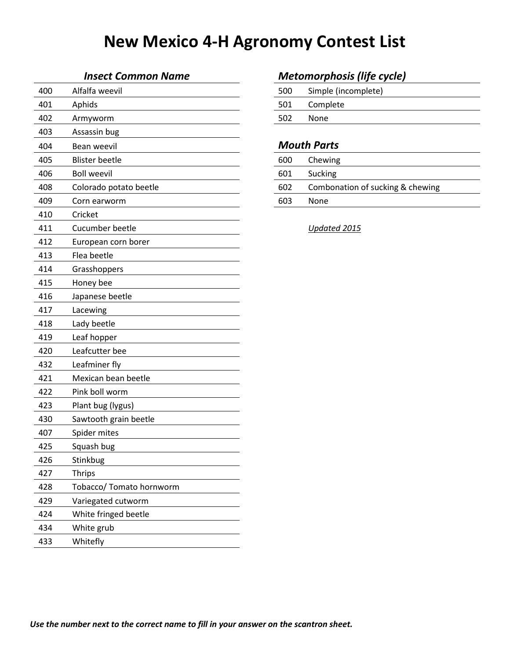| 400 | Alfalfa weevil           | 500 | Simple (incomplete)              |
|-----|--------------------------|-----|----------------------------------|
| 401 | Aphids                   | 501 | Complete                         |
| 402 | Armyworm                 | 502 | None                             |
| 403 | Assassin bug             |     |                                  |
| 404 | Bean weevil              |     | <b>Mouth Parts</b>               |
| 405 | <b>Blister beetle</b>    | 600 | Chewing                          |
| 406 | <b>Boll weevil</b>       | 601 | Sucking                          |
| 408 | Colorado potato beetle   | 602 | Combonation of sucking & chewing |
| 409 | Corn earworm             | 603 | None                             |
| 410 | Cricket                  |     |                                  |
| 411 | Cucumber beetle          |     | Updated 2015                     |
| 412 | European corn borer      |     |                                  |
| 413 | Flea beetle              |     |                                  |
| 414 | Grasshoppers             |     |                                  |
| 415 | Honey bee                |     |                                  |
| 416 | Japanese beetle          |     |                                  |
| 417 | Lacewing                 |     |                                  |
| 418 | Lady beetle              |     |                                  |
| 419 | Leaf hopper              |     |                                  |
| 420 | Leafcutter bee           |     |                                  |
| 432 | Leafminer fly            |     |                                  |
| 421 | Mexican bean beetle      |     |                                  |
| 422 | Pink boll worm           |     |                                  |
| 423 | Plant bug (lygus)        |     |                                  |
| 430 | Sawtooth grain beetle    |     |                                  |
| 407 | Spider mites             |     |                                  |
| 425 | Squash bug               |     |                                  |
| 426 | Stinkbug                 |     |                                  |
| 427 | <b>Thrips</b>            |     |                                  |
| 428 | Tobacco/ Tomato hornworm |     |                                  |
| 429 | Variegated cutworm       |     |                                  |
| 424 | White fringed beetle     |     |                                  |
| 434 | White grub               |     |                                  |
| 433 | Whitefly                 |     |                                  |

### *Insect Common Name Metomorphosis (life cycle)*

| 500 | Simple (incomplete) |
|-----|---------------------|
| 501 | Complete            |
| 502 | <b>None</b>         |
|     |                     |

#### **Mouth Parts**

| 600 | Chewing                          |
|-----|----------------------------------|
| 601 | Sucking                          |
| 602 | Combonation of sucking & chewing |
| 603 | None                             |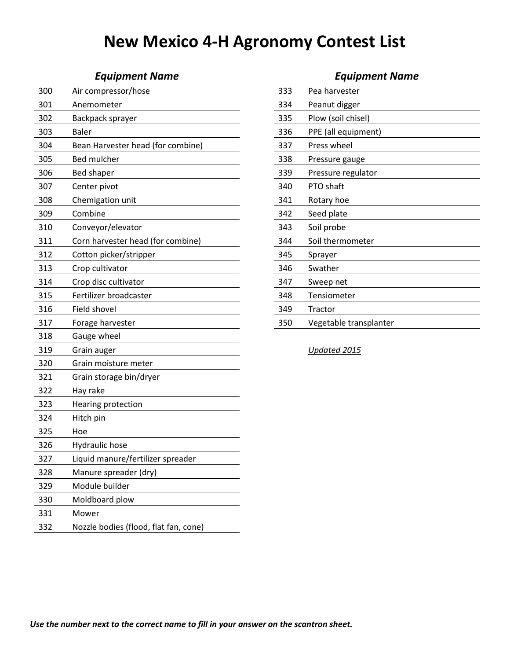| 300 | Air compressor/hose                   | 333 | Pea harvester          |
|-----|---------------------------------------|-----|------------------------|
| 301 | Anemometer                            | 334 | Peanut digger          |
| 302 | Backpack sprayer                      | 335 | Plow (soil chisel)     |
| 303 | <b>Baler</b>                          | 336 | PPE (all equipment)    |
| 304 | Bean Harvester head (for combine)     | 337 | Press wheel            |
| 305 | <b>Bed mulcher</b>                    | 338 | Pressure gauge         |
| 306 | <b>Bed shaper</b>                     | 339 | Pressure regulator     |
| 307 | Center pivot                          | 340 | PTO shaft              |
| 308 | Chemigation unit                      | 341 | Rotary hoe             |
| 309 | Combine                               | 342 | Seed plate             |
| 310 | Conveyor/elevator                     | 343 | Soil probe             |
| 311 | Corn harvester head (for combine)     | 344 | Soil thermometer       |
| 312 | Cotton picker/stripper                | 345 | Sprayer                |
| 313 | Crop cultivator                       | 346 | Swather                |
| 314 | Crop disc cultivator                  | 347 | Sweep net              |
| 315 | Fertilizer broadcaster                | 348 | Tensiometer            |
| 316 | Field shovel                          | 349 | Tractor                |
| 317 | Forage harvester                      | 350 | Vegetable transplanter |
| 318 | Gauge wheel                           |     |                        |
| 319 | Grain auger                           |     | Updated 2015           |
| 320 | Grain moisture meter                  |     |                        |
| 321 | Grain storage bin/dryer               |     |                        |
| 322 | Hay rake                              |     |                        |
| 323 | Hearing protection                    |     |                        |
| 324 | Hitch pin                             |     |                        |
| 325 | Hoe                                   |     |                        |
| 326 | Hydraulic hose                        |     |                        |
| 327 | Liquid manure/fertilizer spreader     |     |                        |
| 328 | Manure spreader (dry)                 |     |                        |
| 329 | Module builder                        |     |                        |
| 330 | Moldboard plow                        |     |                        |
| 331 | Mower                                 |     |                        |
| 332 | Nozzle bodies (flood, flat fan, cone) |     |                        |

| <b>Equipment Name</b>        |     | <b>Equipment Name</b>  |  |  |  |
|------------------------------|-----|------------------------|--|--|--|
| mpressor/hose                | 333 | Pea harvester          |  |  |  |
| ıometer                      | 334 | Peanut digger          |  |  |  |
| ack sprayer                  | 335 | Plow (soil chisel)     |  |  |  |
|                              | 336 | PPE (all equipment)    |  |  |  |
| Harvester head (for combine) | 337 | Press wheel            |  |  |  |
| nulcher                      | 338 | Pressure gauge         |  |  |  |
| haper                        | 339 | Pressure regulator     |  |  |  |
| er pivot                     | 340 | PTO shaft              |  |  |  |
| igation unit                 | 341 | Rotary hoe             |  |  |  |
| vine                         | 342 | Seed plate             |  |  |  |
| eyor/elevator                | 343 | Soil probe             |  |  |  |
| harvester head (for combine) | 344 | Soil thermometer       |  |  |  |
| n picker/stripper            | 345 | Sprayer                |  |  |  |
| cultivator                   | 346 | Swather                |  |  |  |
| disc cultivator              | 347 | Sweep net              |  |  |  |
| izer broadcaster             | 348 | Tensiometer            |  |  |  |
| shovel                       | 349 | Tractor                |  |  |  |
| e harvester                  | 350 | Vegetable transplanter |  |  |  |
|                              |     |                        |  |  |  |